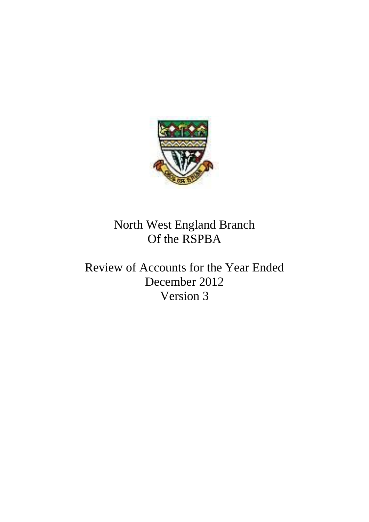

North West England Branch Of the RSPBA

Review of Accounts for the Year Ended December 2012 Version 3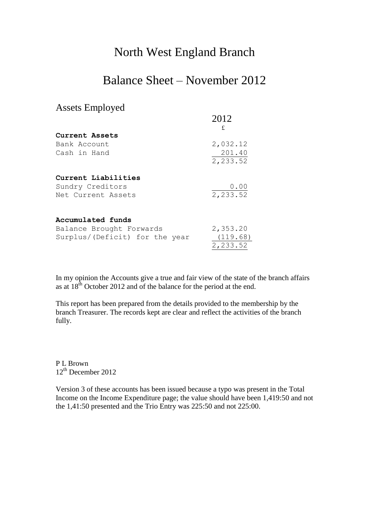## North West England Branch

## Balance Sheet – November 2012

## Assets Employed

|                                | 2012               |
|--------------------------------|--------------------|
|                                | £                  |
| Current Assets                 |                    |
| Bank Account                   | 2,032.12           |
| Cash in Hand                   | 201.40<br>2,233.52 |
|                                |                    |
| Current Liabilities            |                    |
| Sundry Creditors               | 0.00               |
| Net Current Assets             | 2,233.52           |
| Accumulated funds              |                    |
| Balance Brought Forwards       | 2,353.20           |
|                                |                    |
| Surplus/(Deficit) for the year | (119.68)           |
|                                | 2,233.52           |

In my opinion the Accounts give a true and fair view of the state of the branch affairs as at  $18^{th}$  October 2012 and of the balance for the period at the end.

This report has been prepared from the details provided to the membership by the branch Treasurer. The records kept are clear and reflect the activities of the branch fully.

P L Brown 12<sup>th</sup> December 2012

Version 3 of these accounts has been issued because a typo was present in the Total Income on the Income Expenditure page; the value should have been 1,419:50 and not the 1,41:50 presented and the Trio Entry was 225:50 and not 225:00.